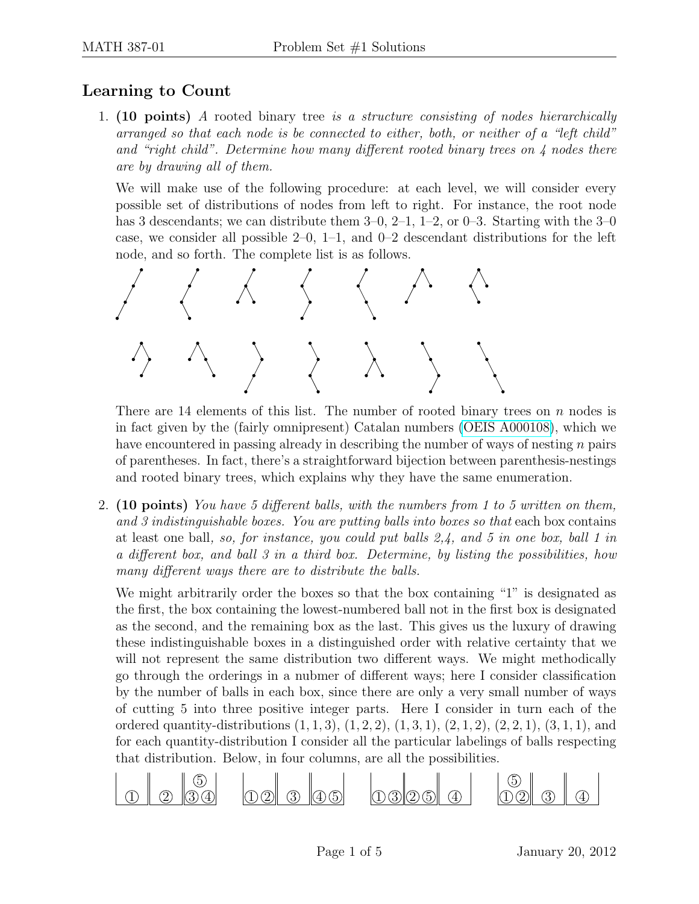## Learning to Count

1. (10 points) A rooted binary tree is a structure consisting of nodes hierarchically arranged so that each node is be connected to either, both, or neither of a "left child" and "right child". Determine how many different rooted binary trees on 4 nodes there are by drawing all of them.

We will make use of the following procedure: at each level, we will consider every possible set of distributions of nodes from left to right. For instance, the root node has 3 descendants; we can distribute them  $3-0$ ,  $2-1$ ,  $1-2$ , or  $0-3$ . Starting with the  $3-0$ case, we consider all possible  $2-0$ ,  $1-1$ , and  $0-2$  descendant distributions for the left node, and so forth. The complete list is as follows.



There are 14 elements of this list. The number of rooted binary trees on  $n$  nodes is in fact given by the (fairly omnipresent) Catalan numbers [\(OEIS A000108\)](http://oeis.org/A000108), which we have encountered in passing already in describing the number of ways of nesting n pairs of parentheses. In fact, there's a straightforward bijection between parenthesis-nestings and rooted binary trees, which explains why they have the same enumeration.

2. (10 points) You have 5 different balls, with the numbers from 1 to 5 written on them, and 3 indistinguishable boxes. You are putting balls into boxes so that each box contains at least one ball, so, for instance, you could put balls 2,4, and 5 in one box, ball 1 in a different box, and ball 3 in a third box. Determine, by listing the possibilities, how many different ways there are to distribute the balls.

We might arbitrarily order the boxes so that the box containing "1" is designated as the first, the box containing the lowest-numbered ball not in the first box is designated as the second, and the remaining box as the last. This gives us the luxury of drawing these indistinguishable boxes in a distinguished order with relative certainty that we will not represent the same distribution two different ways. We might methodically go through the orderings in a nubmer of different ways; here I consider classification by the number of balls in each box, since there are only a very small number of ways of cutting 5 into three positive integer parts. Here I consider in turn each of the ordered quantity-distributions  $(1, 1, 3)$ ,  $(1, 2, 2)$ ,  $(1, 3, 1)$ ,  $(2, 1, 2)$ ,  $(2, 2, 1)$ ,  $(3, 1, 1)$ , and for each quantity-distribution I consider all the particular labelings of balls respecting that distribution. Below, in four columns, are all the possibilities.

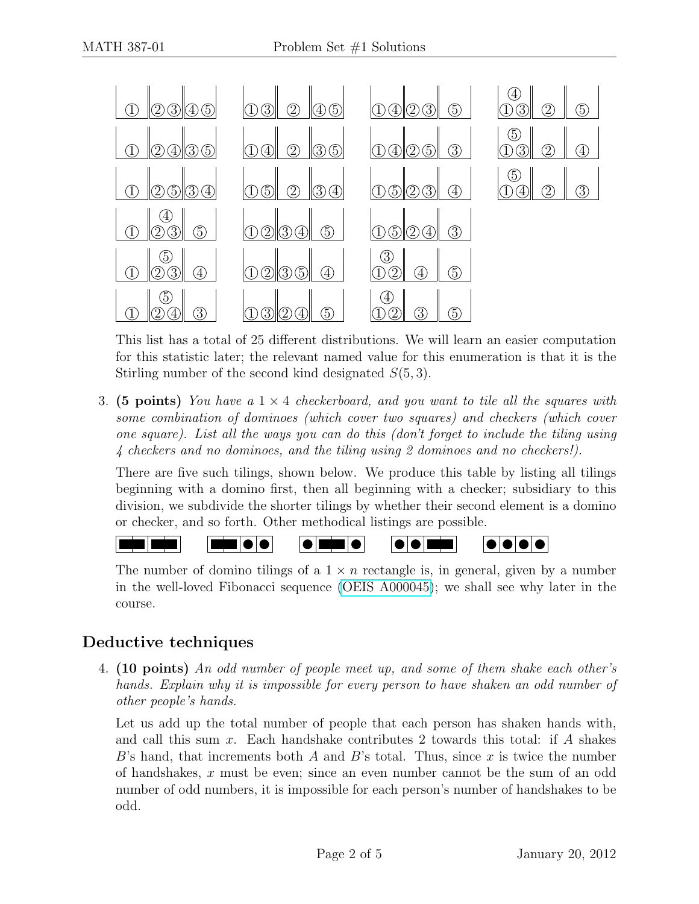

This list has a total of 25 different distributions. We will learn an easier computation for this statistic later; the relevant named value for this enumeration is that it is the Stirling number of the second kind designated  $S(5,3)$ .

3. (5 points) You have a  $1 \times 4$  checkerboard, and you want to tile all the squares with some combination of dominoes (which cover two squares) and checkers (which cover one square). List all the ways you can do this (don't forget to include the tiling using 4 checkers and no dominoes, and the tiling using 2 dominoes and no checkers!).

There are five such tilings, shown below. We produce this table by listing all tilings beginning with a domino first, then all beginning with a checker; subsidiary to this division, we subdivide the shorter tilings by whether their second element is a domino or checker, and so forth. Other methodical listings are possible.



The number of domino tilings of a  $1 \times n$  rectangle is, in general, given by a number in the well-loved Fibonacci sequence [\(OEIS A000045\)](http://oeis.org/A000045); we shall see why later in the course.

## Deductive techniques

4. (10 points) An odd number of people meet up, and some of them shake each other's hands. Explain why it is impossible for every person to have shaken an odd number of other people's hands.

Let us add up the total number of people that each person has shaken hands with, and call this sum x. Each handshake contributes 2 towards this total: if  $\tilde{A}$  shakes B's hand, that increments both A and B's total. Thus, since x is twice the number of handshakes, x must be even; since an even number cannot be the sum of an odd number of odd numbers, it is impossible for each person's number of handshakes to be odd.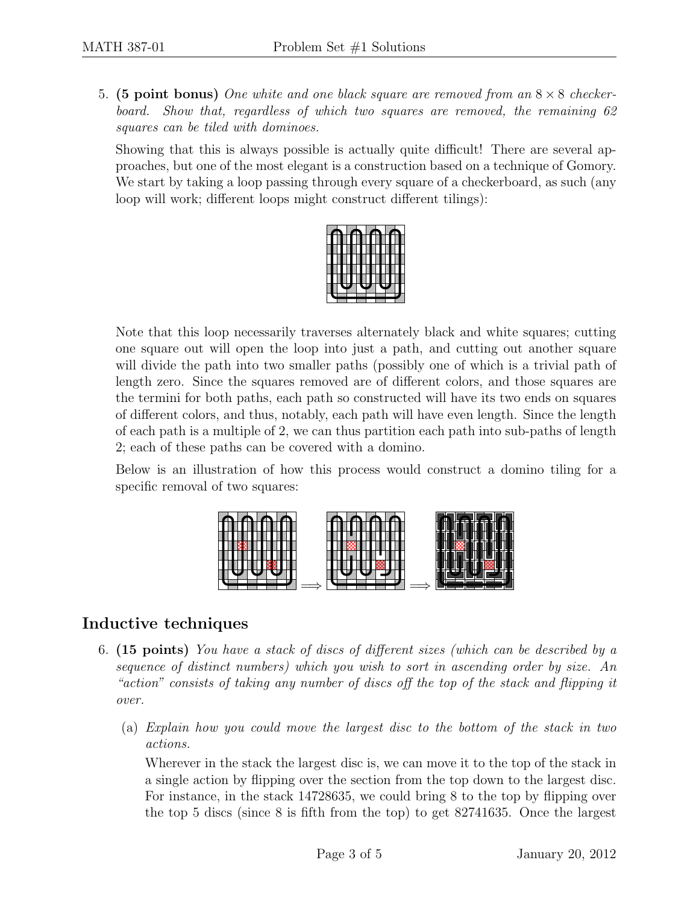5. (5 point bonus) One white and one black square are removed from an  $8 \times 8$  checkerboard. Show that, regardless of which two squares are removed, the remaining 62 squares can be tiled with dominoes.

Showing that this is always possible is actually quite difficult! There are several approaches, but one of the most elegant is a construction based on a technique of Gomory. We start by taking a loop passing through every square of a checkerboard, as such (any loop will work; different loops might construct different tilings):



Note that this loop necessarily traverses alternately black and white squares; cutting one square out will open the loop into just a path, and cutting out another square will divide the path into two smaller paths (possibly one of which is a trivial path of length zero. Since the squares removed are of different colors, and those squares are the termini for both paths, each path so constructed will have its two ends on squares of different colors, and thus, notably, each path will have even length. Since the length of each path is a multiple of 2, we can thus partition each path into sub-paths of length 2; each of these paths can be covered with a domino.

Below is an illustration of how this process would construct a domino tiling for a specific removal of two squares:



## Inductive techniques

- 6. (15 points) You have a stack of discs of different sizes (which can be described by a sequence of distinct numbers) which you wish to sort in ascending order by size. An "action" consists of taking any number of discs off the top of the stack and flipping it over.
	- (a) Explain how you could move the largest disc to the bottom of the stack in two actions.

Wherever in the stack the largest disc is, we can move it to the top of the stack in a single action by flipping over the section from the top down to the largest disc. For instance, in the stack 14728635, we could bring 8 to the top by flipping over the top 5 discs (since 8 is fifth from the top) to get 82741635. Once the largest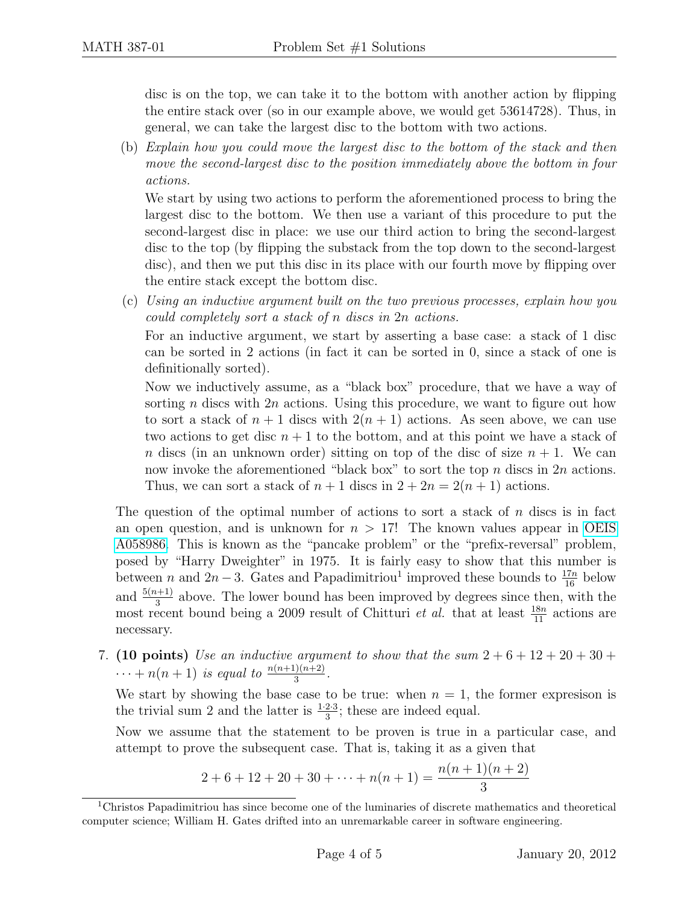disc is on the top, we can take it to the bottom with another action by flipping the entire stack over (so in our example above, we would get 53614728). Thus, in general, we can take the largest disc to the bottom with two actions.

(b) Explain how you could move the largest disc to the bottom of the stack and then move the second-largest disc to the position immediately above the bottom in four actions.

We start by using two actions to perform the aforementioned process to bring the largest disc to the bottom. We then use a variant of this procedure to put the second-largest disc in place: we use our third action to bring the second-largest disc to the top (by flipping the substack from the top down to the second-largest disc), and then we put this disc in its place with our fourth move by flipping over the entire stack except the bottom disc.

(c) Using an inductive argument built on the two previous processes, explain how you could completely sort a stack of n discs in 2n actions.

For an inductive argument, we start by asserting a base case: a stack of 1 disc can be sorted in 2 actions (in fact it can be sorted in 0, since a stack of one is definitionally sorted).

Now we inductively assume, as a "black box" procedure, that we have a way of sorting n discs with  $2n$  actions. Using this procedure, we want to figure out how to sort a stack of  $n + 1$  discs with  $2(n + 1)$  actions. As seen above, we can use two actions to get disc  $n + 1$  to the bottom, and at this point we have a stack of n discs (in an unknown order) sitting on top of the disc of size  $n + 1$ . We can now invoke the aforementioned "black box" to sort the top  $n$  discs in  $2n$  actions. Thus, we can sort a stack of  $n + 1$  discs in  $2 + 2n = 2(n + 1)$  actions.

The question of the optimal number of actions to sort a stack of  $n$  discs is in fact an open question, and is unknown for  $n > 17$ ! The known values appear in [OEIS](http://oeis.org/A058986) [A058986.](http://oeis.org/A058986) This is known as the "pancake problem" or the "prefix-reversal" problem, posed by "Harry Dweighter" in 1975. It is fairly easy to show that this number is between n and  $2n-3$ . Gates and Papadimitriou<sup>1</sup> improved these bounds to  $\frac{17n}{16}$  below and  $\frac{5(n+1)}{3}$  above. The lower bound has been improved by degrees since then, with the most recent bound being a 2009 result of Chitturi *et al.* that at least  $\frac{18n}{11}$  actions are necessary.

7. (10 points) Use an inductive argument to show that the sum  $2 + 6 + 12 + 20 + 30 + 7$  $\cdots + n(n+1)$  is equal to  $\frac{n(n+1)(n+2)}{3}$ .

We start by showing the base case to be true: when  $n = 1$ , the former expression is the trivial sum 2 and the latter is  $\frac{1\cdot 2\cdot 3}{3}$ ; these are indeed equal.

Now we assume that the statement to be proven is true in a particular case, and attempt to prove the subsequent case. That is, taking it as a given that

$$
2 + 6 + 12 + 20 + 30 + \dots + n(n+1) = \frac{n(n+1)(n+2)}{3}
$$

<sup>1</sup>Christos Papadimitriou has since become one of the luminaries of discrete mathematics and theoretical computer science; William H. Gates drifted into an unremarkable career in software engineering.